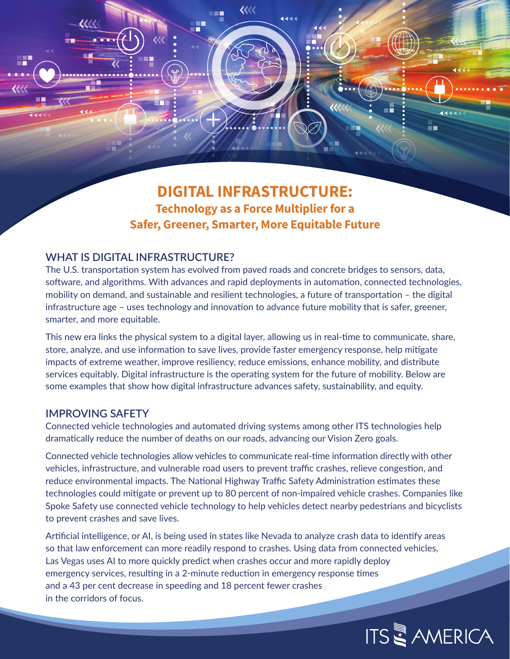# **DIGITAL INFRASTRUCTURE: Technology as a Force Multiplier for a Safer, Greener, Smarter, More Equitable Future**

रररर

### **WHAT IS DIGITAL INFRASTRUCTURE?**

The U.S. transportation system has evolved from paved roads and concrete bridges to sensors, data, software, and algorithms. With advances and rapid deployments in automation, connected technologies, mobility on demand, and sustainable and resilient technologies, a future of transportation – the digital infrastructure age – uses technology and innovation to advance future mobility that is safer, greener, smarter, and more equitable.

This new era links the physical system to a digital layer, allowing us in real-time to communicate, share, store, analyze, and use information to save lives, provide faster emergency response, help mitigate impacts of extreme weather, improve resiliency, reduce emissions, enhance mobility, and distribute services equitably. Digital infrastructure is the operating system for the future of mobility. Below are some examples that show how digital infrastructure advances safety, sustainability, and equity.

#### **IMPROVING SAFETY**

પ્ય

æ

Connected vehicle technologies and automated driving systems among other ITS technologies help dramatically reduce the number of deaths on our roads, advancing our Vision Zero goals.

Connected vehicle technologies allow vehicles to communicate real-time information directly with other vehicles, infrastructure, and vulnerable road users to prevent traffic crashes, relieve congestion, and reduce environmental impacts. The National Highway Traffic Safety Administration estimates these technologies could mitigate or prevent up to 80 percent of non-impaired vehicle crashes. Companies like Spoke Safety use connected vehicle technology to help vehicles detect nearby pedestrians and bicyclists to prevent crashes and save lives.

Artificial intelligence, or AI, is being used in states like Nevada to analyze crash data to identify areas so that law enforcement can more readily respond to crashes. Using data from connected vehicles, Las Vegas uses AI to more quickly predict when crashes occur and more rapidly deploy emergency services, resulting in a 2-minute reduction in emergency response times and a 43 per cent decrease in speeding and 18 percent fewer crashes in the corridors of focus.



i s